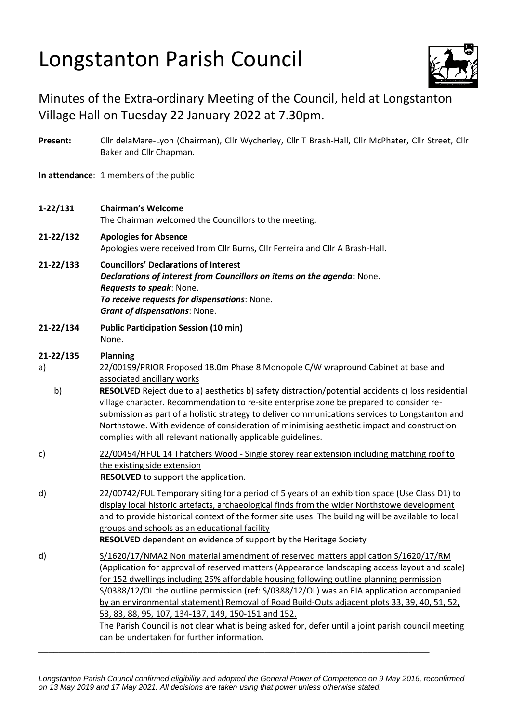## Longstanton Parish Council



## Minutes of the Extra-ordinary Meeting of the Council, held at Longstanton Village Hall on Tuesday 22 January 2022 at 7.30pm.

| Present:              | Cllr delaMare-Lyon (Chairman), Cllr Wycherley, Cllr T Brash-Hall, Cllr McPhater, Cllr Street, Cllr<br>Baker and Cllr Chapman.                                                                                                                                                                                                                                                                                                                                                                                                                                                                                                                                                              |
|-----------------------|--------------------------------------------------------------------------------------------------------------------------------------------------------------------------------------------------------------------------------------------------------------------------------------------------------------------------------------------------------------------------------------------------------------------------------------------------------------------------------------------------------------------------------------------------------------------------------------------------------------------------------------------------------------------------------------------|
|                       | In attendance: 1 members of the public                                                                                                                                                                                                                                                                                                                                                                                                                                                                                                                                                                                                                                                     |
| $1 - 22/131$          | <b>Chairman's Welcome</b><br>The Chairman welcomed the Councillors to the meeting.                                                                                                                                                                                                                                                                                                                                                                                                                                                                                                                                                                                                         |
| 21-22/132             | <b>Apologies for Absence</b><br>Apologies were received from Cllr Burns, Cllr Ferreira and Cllr A Brash-Hall.                                                                                                                                                                                                                                                                                                                                                                                                                                                                                                                                                                              |
| 21-22/133             | <b>Councillors' Declarations of Interest</b><br>Declarations of interest from Councillors on items on the agenda: None.<br>Requests to speak: None.<br>To receive requests for dispensations: None.<br><b>Grant of dispensations: None.</b>                                                                                                                                                                                                                                                                                                                                                                                                                                                |
| 21-22/134             | <b>Public Participation Session (10 min)</b><br>None.                                                                                                                                                                                                                                                                                                                                                                                                                                                                                                                                                                                                                                      |
| 21-22/135<br>a)<br>b) | <b>Planning</b><br>22/00199/PRIOR Proposed 18.0m Phase 8 Monopole C/W wrapround Cabinet at base and<br>associated ancillary works<br>RESOLVED Reject due to a) aesthetics b) safety distraction/potential accidents c) loss residential<br>village character. Recommendation to re-site enterprise zone be prepared to consider re-<br>submission as part of a holistic strategy to deliver communications services to Longstanton and<br>Northstowe. With evidence of consideration of minimising aesthetic impact and construction<br>complies with all relevant nationally applicable guidelines.                                                                                       |
| c)                    | 22/00454/HFUL 14 Thatchers Wood - Single storey rear extension including matching roof to<br>the existing side extension<br><b>RESOLVED</b> to support the application.                                                                                                                                                                                                                                                                                                                                                                                                                                                                                                                    |
| d)                    | 22/00742/FUL Temporary siting for a period of 5 years of an exhibition space (Use Class D1) to<br>display local historic artefacts, archaeological finds from the wider Northstowe development<br>and to provide historical context of the former site uses. The building will be available to local<br>groups and schools as an educational facility<br>RESOLVED dependent on evidence of support by the Heritage Society                                                                                                                                                                                                                                                                 |
| d)                    | S/1620/17/NMA2 Non material amendment of reserved matters application S/1620/17/RM<br>(Application for approval of reserved matters (Appearance landscaping access layout and scale)<br>for 152 dwellings including 25% affordable housing following outline planning permission<br>S/0388/12/OL the outline permission (ref: S/0388/12/OL) was an EIA application accompanied<br>by an environmental statement) Removal of Road Build-Outs adjacent plots 33, 39, 40, 51, 52,<br>53, 83, 88, 95, 107, 134-137, 149, 150-151 and 152.<br>The Parish Council is not clear what is being asked for, defer until a joint parish council meeting<br>can be undertaken for further information. |